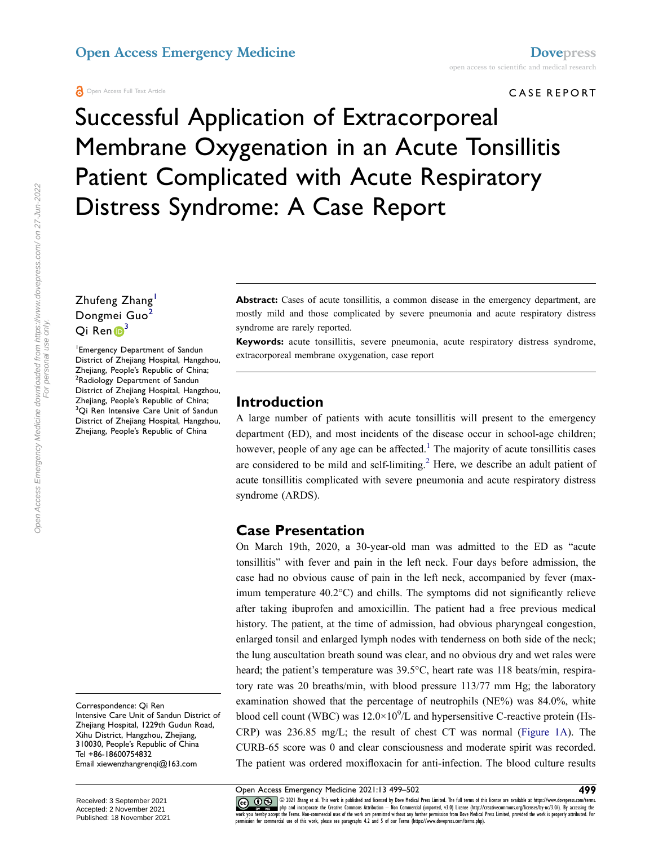#### CASE REPORT

# Successful Application of Extracorporeal Membrane Oxygenation in an Acute Tonsillitis Patient Complicated with Acute Respiratory Distress Syndrome: A Case Report

Zhufeng Zhang Dongmei Guo<sup>2</sup>  $Qi$  Ren $\mathbf{D}^3$  $\mathbf{D}^3$ 

<span id="page-0-2"></span><span id="page-0-1"></span><span id="page-0-0"></span>1 Emergency Department of Sandun District of Zhejiang Hospital, Hangzhou, Zhejiang, People's Republic of China; <sup>2</sup>Radiology Department of Sandun District of Zhejiang Hospital, Hangzhou, Zhejiang, People's Republic of China; <sup>3</sup>Qi Ren Intensive Care Unit of Sandun District of Zhejiang Hospital, Hangzhou, Zhejiang, People's Republic of China

Correspondence: Qi Ren Intensive Care Unit of Sandun District of Zhejiang Hospital, 1229th Gudun Road, Xihu District, Hangzhou, Zhejiang, 310030, People's Republic of China Tel +86-18600754832 Email [xiewenzhangrenqi@163.com](mailto:xiewenzhangrenqi@163.com)

Received: 3 September 2021 Accepted: 2 November 2021 Published: 18 November 2021 Abstract: Cases of acute tonsillitis, a common disease in the emergency department, are mostly mild and those complicated by severe pneumonia and acute respiratory distress syndrome are rarely reported.

**Keywords:** acute tonsillitis, severe pneumonia, acute respiratory distress syndrome, extracorporeal membrane oxygenation, case report

#### **Introduction**

<span id="page-0-4"></span><span id="page-0-3"></span>A large number of patients with acute tonsillitis will present to the emergency department (ED), and most incidents of the disease occur in school-age children; however, people of any age can be affected.<sup>[1](#page-2-0)</sup> The majority of acute tonsillitis cases are considered to be mild and self-limiting.<sup>[2](#page-2-1)</sup> Here, we describe an adult patient of acute tonsillitis complicated with severe pneumonia and acute respiratory distress syndrome (ARDS).

#### **Case Presentation**

On March 19th, 2020, a 30-year-old man was admitted to the ED as "acute tonsillitis" with fever and pain in the left neck. Four days before admission, the case had no obvious cause of pain in the left neck, accompanied by fever (maximum temperature 40.2°C) and chills. The symptoms did not significantly relieve after taking ibuprofen and amoxicillin. The patient had a free previous medical history. The patient, at the time of admission, had obvious pharyngeal congestion, enlarged tonsil and enlarged lymph nodes with tenderness on both side of the neck; the lung auscultation breath sound was clear, and no obvious dry and wet rales were heard; the patient's temperature was 39.5°C, heart rate was 118 beats/min, respiratory rate was 20 breaths/min, with blood pressure 113/77 mm Hg; the laboratory examination showed that the percentage of neutrophils (NE%) was 84.0%, white blood cell count (WBC) was  $12.0 \times 10^9$ /L and hypersensitive C-reactive protein (Hs-CRP) was 236.85 mg/L; the result of chest CT was normal [\(Figure 1A\)](#page-1-0). The CURB-65 score was 0 and clear consciousness and moderate spirit was recorded. The patient was ordered moxifloxacin for anti-infection. The blood culture results

Open Access Emergency Medicine 2021:13 499–502 **499**

CO OD SUI Thang et al. This work is published and licensed by Dove Medical Press Limited. The full terms of this license are available at https://www.dovepress.com/terms.<br>work you hereby accept the Terms. Non-commercial us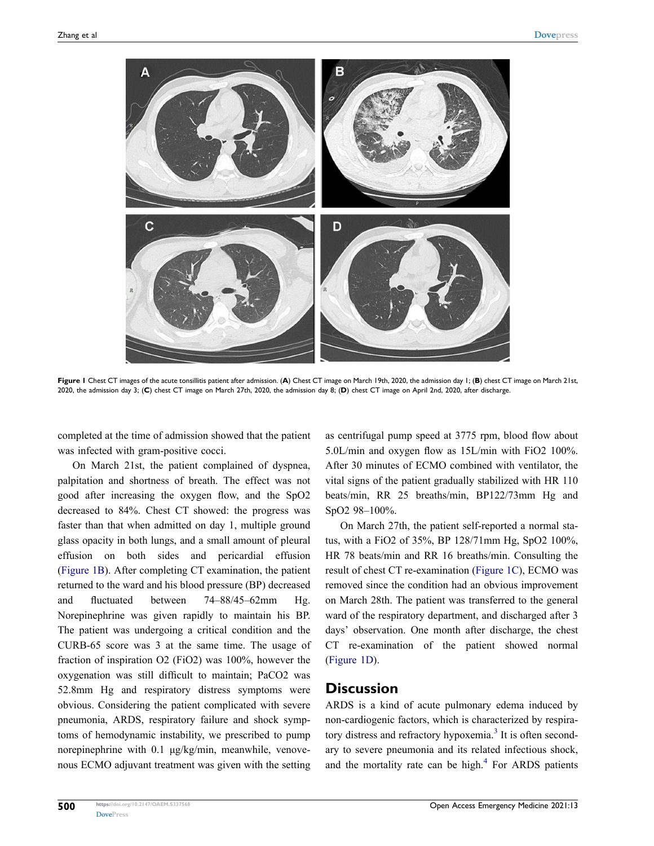<span id="page-1-0"></span>

**Figure 1** Chest CT images of the acute tonsillitis patient after admission. (**A**) Chest CT image on March 19th, 2020, the admission day 1; (**B**) chest CT image on March 21st, 2020, the admission day 3; (**C**) chest CT image on March 27th, 2020, the admission day 8; (**D**) chest CT image on April 2nd, 2020, after discharge.

completed at the time of admission showed that the patient was infected with gram-positive cocci.

On March 21st, the patient complained of dyspnea, palpitation and shortness of breath. The effect was not good after increasing the oxygen flow, and the SpO2 decreased to 84%. Chest CT showed: the progress was faster than that when admitted on day 1, multiple ground glass opacity in both lungs, and a small amount of pleural effusion on both sides and pericardial effusion [\(Figure 1B](#page-1-0)). After completing CT examination, the patient returned to the ward and his blood pressure (BP) decreased and fluctuated between 74–88/45–62mm Hg. Norepinephrine was given rapidly to maintain his BP. The patient was undergoing a critical condition and the CURB-65 score was 3 at the same time. The usage of fraction of inspiration O2 (FiO2) was 100%, however the oxygenation was still difficult to maintain; PaCO2 was 52.8mm Hg and respiratory distress symptoms were obvious. Considering the patient complicated with severe pneumonia, ARDS, respiratory failure and shock symptoms of hemodynamic instability, we prescribed to pump norepinephrine with 0.1 μg/kg/min, meanwhile, venovenous ECMO adjuvant treatment was given with the setting as centrifugal pump speed at 3775 rpm, blood flow about 5.0L/min and oxygen flow as 15L/min with FiO2 100%. After 30 minutes of ECMO combined with ventilator, the vital signs of the patient gradually stabilized with HR 110 beats/min, RR 25 breaths/min, BP122/73mm Hg and SpO2 98–100%.

On March 27th, the patient self-reported a normal status, with a FiO2 of 35%, BP 128/71mm Hg, SpO2 100%, HR 78 beats/min and RR 16 breaths/min. Consulting the result of chest CT re-examination [\(Figure 1C\)](#page-1-0), ECMO was removed since the condition had an obvious improvement on March 28th. The patient was transferred to the general ward of the respiratory department, and discharged after 3 days' observation. One month after discharge, the chest CT re-examination of the patient showed normal [\(Figure 1D\)](#page-1-0).

#### **Discussion**

<span id="page-1-2"></span><span id="page-1-1"></span>ARDS is a kind of acute pulmonary edema induced by non-cardiogenic factors, which is characterized by respira-tory distress and refractory hypoxemia.<sup>[3](#page-2-2)</sup> It is often secondary to severe pneumonia and its related infectious shock, and the mortality rate can be high. $4$  For ARDS patients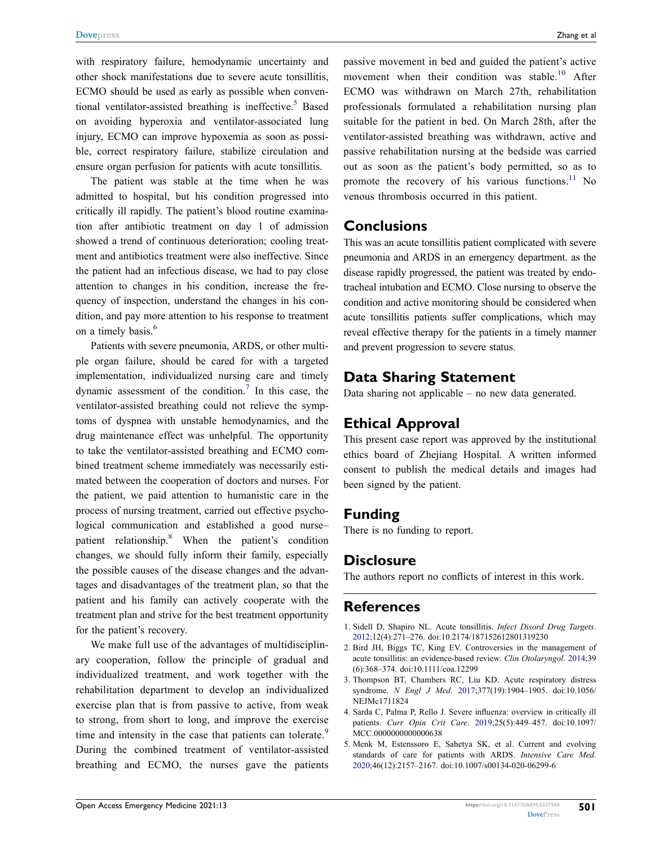<span id="page-2-5"></span>with respiratory failure, hemodynamic uncertainty and other shock manifestations due to severe acute tonsillitis, ECMO should be used as early as possible when conventional ventilator-assisted breathing is ineffective.<sup>5</sup> Based on avoiding hyperoxia and ventilator-associated lung injury, ECMO can improve hypoxemia as soon as possible, correct respiratory failure, stabilize circulation and ensure organ perfusion for patients with acute tonsillitis.

The patient was stable at the time when he was admitted to hospital, but his condition progressed into critically ill rapidly. The patient's blood routine examination after antibiotic treatment on day 1 of admission showed a trend of continuous deterioration; cooling treatment and antibiotics treatment were also ineffective. Since the patient had an infectious disease, we had to pay close attention to changes in his condition, increase the frequency of inspection, understand the changes in his condition, and pay more attention to his response to treatment on a timely basis.<sup>[6](#page-3-0)</sup>

<span id="page-2-7"></span><span id="page-2-6"></span>Patients with severe pneumonia, ARDS, or other multiple organ failure, should be cared for with a targeted implementation, individualized nursing care and timely dynamic assessment of the condition.<sup>7</sup> In this case, the ventilator-assisted breathing could not relieve the symptoms of dyspnea with unstable hemodynamics, and the drug maintenance effect was unhelpful. The opportunity to take the ventilator-assisted breathing and ECMO combined treatment scheme immediately was necessarily estimated between the cooperation of doctors and nurses. For the patient, we paid attention to humanistic care in the process of nursing treatment, carried out effective psychological communication and established a good nurse– patient relationship.[8](#page-3-2) When the patient's condition changes, we should fully inform their family, especially the possible causes of the disease changes and the advantages and disadvantages of the treatment plan, so that the patient and his family can actively cooperate with the treatment plan and strive for the best treatment opportunity for the patient's recovery.

<span id="page-2-9"></span><span id="page-2-8"></span>We make full use of the advantages of multidisciplinary cooperation, follow the principle of gradual and individualized treatment, and work together with the rehabilitation department to develop an individualized exercise plan that is from passive to active, from weak to strong, from short to long, and improve the exercise time and intensity in the case that patients can tolerate.<sup>9</sup> During the combined treatment of ventilator-assisted breathing and ECMO, the nurses gave the patients <span id="page-2-10"></span>passive movement in bed and guided the patient's active movement when their condition was stable.<sup>10</sup> After ECMO was withdrawn on March 27th, rehabilitation professionals formulated a rehabilitation nursing plan suitable for the patient in bed. On March 28th, after the ventilator-assisted breathing was withdrawn, active and passive rehabilitation nursing at the bedside was carried out as soon as the patient's body permitted, so as to promote the recovery of his various functions.<sup>11</sup> No venous thrombosis occurred in this patient.

#### <span id="page-2-11"></span>**Conclusions**

This was an acute tonsillitis patient complicated with severe pneumonia and ARDS in an emergency department. as the disease rapidly progressed, the patient was treated by endotracheal intubation and ECMO. Close nursing to observe the condition and active monitoring should be considered when acute tonsillitis patients suffer complications, which may reveal effective therapy for the patients in a timely manner and prevent progression to severe status.

#### **Data Sharing Statement**

Data sharing not applicable – no new data generated.

## **Ethical Approval**

This present case report was approved by the institutional ethics board of Zhejiang Hospital. A written informed consent to publish the medical details and images had been signed by the patient.

#### **Funding**

There is no funding to report.

## **Disclosure**

The authors report no conflicts of interest in this work.

## **References**

- <span id="page-2-0"></span>1. Sidell D, Shapiro NL. Acute tonsillitis. *Infect Disord Drug Targets*. [2012](#page-0-3);12(4):271–276. doi:[10.2174/187152612801319230](https://doi.org/10.2174/187152612801319230)
- <span id="page-2-1"></span>2. Bird JH, Biggs TC, King EV. Controversies in the management of acute tonsillitis: an evidence-based review. *Clin Otolaryngol*. [2014](#page-0-4);39 (6):368–374. doi:[10.1111/coa.12299](https://doi.org/10.1111/coa.12299)
- <span id="page-2-2"></span>3. Thompson BT, Chambers RC, Liu KD. Acute respiratory distress syndrome. *N Engl J Med*. [2017](#page-1-1);377(19):1904–1905. doi:[10.1056/](https://doi.org/10.1056/NEJMc1711824) [NEJMc1711824](https://doi.org/10.1056/NEJMc1711824)
- <span id="page-2-3"></span>4. Sarda C, Palma P, Rello J. Severe influenza: overview in critically ill patients. *Curr Opin Crit Care*. [2019;](#page-1-2)25(5):449–457. doi:[10.1097/](https://doi.org/10.1097/MCC.0000000000000638) [MCC.0000000000000638](https://doi.org/10.1097/MCC.0000000000000638)
- <span id="page-2-4"></span>5. Menk M, Estenssoro E, Sahetya SK, et al. Current and evolving standards of care for patients with ARDS. *Intensive Care Med*. [2020](#page-2-5);46(12):2157–2167. doi:[10.1007/s00134-020-06299-6](https://doi.org/10.1007/s00134-020-06299-6)